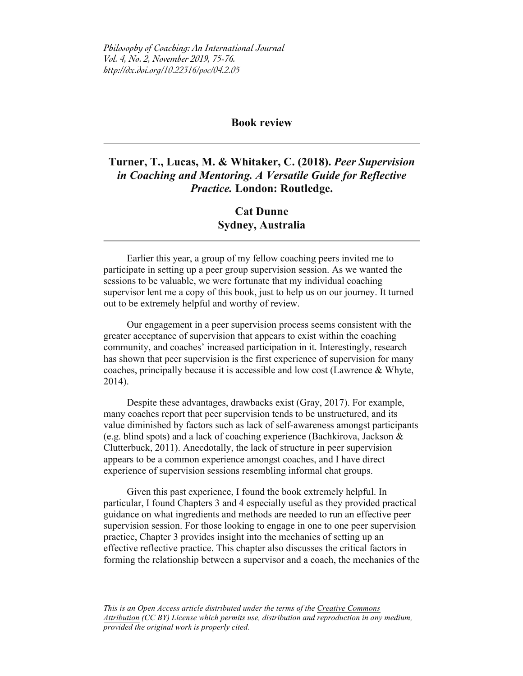*Philosophy of Coaching: An International Journal Vol. 4, No. 2, November 2019, 75-76. http://dx.doi.org/10.22316/poc/04.2.05*

## **Book review**

## **Turner, T., Lucas, M. & Whitaker, C. (2018).** *Peer Supervision in Coaching and Mentoring. A Versatile Guide for Reflective Practice.* **London: Routledge.**

## **Cat Dunne Sydney, Australia**

Earlier this year, a group of my fellow coaching peers invited me to participate in setting up a peer group supervision session. As we wanted the sessions to be valuable, we were fortunate that my individual coaching supervisor lent me a copy of this book, just to help us on our journey. It turned out to be extremely helpful and worthy of review.

Our engagement in a peer supervision process seems consistent with the greater acceptance of supervision that appears to exist within the coaching community, and coaches' increased participation in it. Interestingly, research has shown that peer supervision is the first experience of supervision for many coaches, principally because it is accessible and low cost (Lawrence & Whyte, 2014).

Despite these advantages, drawbacks exist (Gray, 2017). For example, many coaches report that peer supervision tends to be unstructured, and its value diminished by factors such as lack of self-awareness amongst participants (e.g. blind spots) and a lack of coaching experience (Bachkirova, Jackson & Clutterbuck, 2011). Anecdotally, the lack of structure in peer supervision appears to be a common experience amongst coaches, and I have direct experience of supervision sessions resembling informal chat groups.

Given this past experience, I found the book extremely helpful. In particular, I found Chapters 3 and 4 especially useful as they provided practical guidance on what ingredients and methods are needed to run an effective peer supervision session. For those looking to engage in one to one peer supervision practice, Chapter 3 provides insight into the mechanics of setting up an effective reflective practice. This chapter also discusses the critical factors in forming the relationship between a supervisor and a coach, the mechanics of the

*This is an Open Access article distributed under the terms of the Creative Commons Attribution (CC BY) License which permits use, distribution and reproduction in any medium, provided the original work is properly cited.*